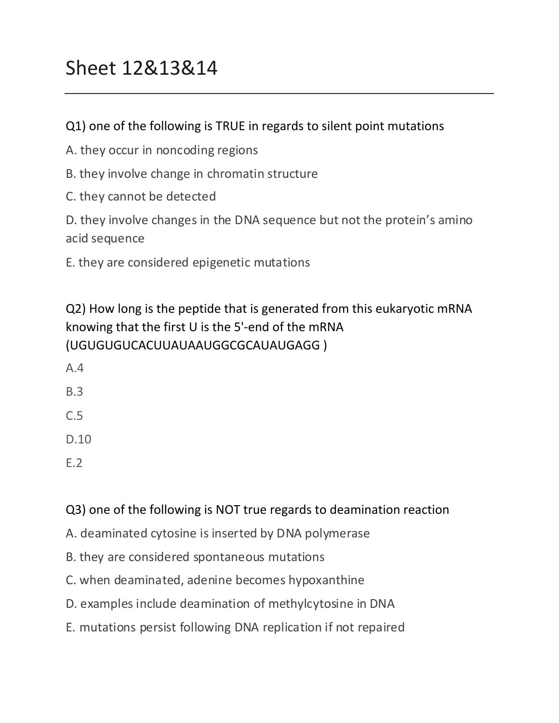# Sheet 12&13&14

#### Q1) one of the following is TRUE in regards to silent point mutations

- A. they occur in noncoding regions
- B. they involve change in chromatin structure
- C. they cannot be detected

D. they involve changes in the DNA sequence but not the protein's amino acid sequence

E. they are considered epigenetic mutations

Q2) How long is the peptide that is generated from this eukaryotic mRNA knowing that the first  $U$  is the 5'-end of the mRNA (UGUGUGUCACUUAUAAUGGCGCAUAUGAGG )

- A.4 B.3 C.5 D.10
- E.2

#### Q3) one of the following is NOT true regards to deamination reaction

- A. deaminated cytosine is inserted by DNA polymerase
- B. they are considered spontaneous mutations
- C. when deaminated, adenine becomes hypoxanthine
- D. examples include deamination of methylcytosine in DNA
- E. mutations persist following DNA replication if not repaired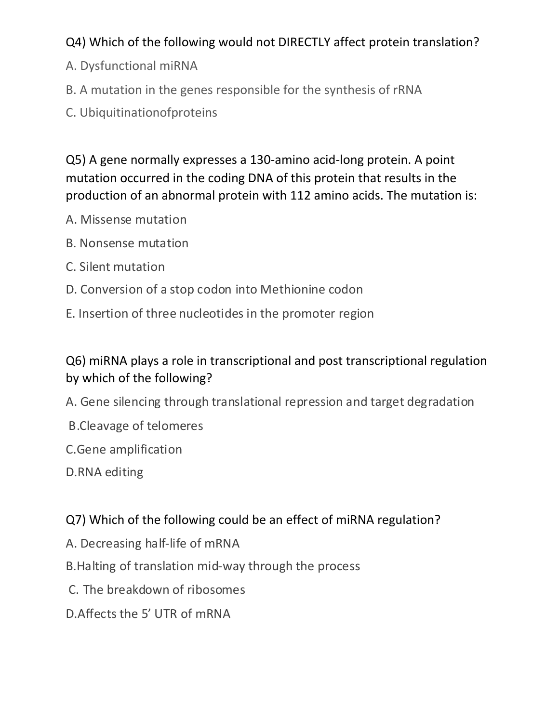# Q4) Which of the following would not DIRECTLY affect protein translation?

- A. Dysfunctional miRNA
- B. A mutation in the genes responsible for the synthesis of rRNA
- C. Ubiquitinationofproteins

Q5) A gene normally expresses a 130-amino acid-long protein. A point mutation occurred in the coding DNA of this protein that results in the production of an abnormal protein with 112 amino acids. The mutation is:

- A. Missense mutation
- B. Nonsense mutation
- C. Silent mutation
- D. Conversion of a stop codon into Methionine codon
- E. Insertion of three nucleotides in the promoter region

# Q6) miRNA plays a role in transcriptional and post transcriptional regulation by which of the following?

- A. Gene silencing through translational repression and target degradation
- B. Cleavage of telomeres
- C.Gene amplification
- D.RNA editing

# Q7) Which of the following could be an effect of miRNA regulation?

- A. Decreasing half-life of mRNA
- B. Halting of translation mid-way through the process
- C. The breakdown of ribosomes
- D. Affects the 5' UTR of mRNA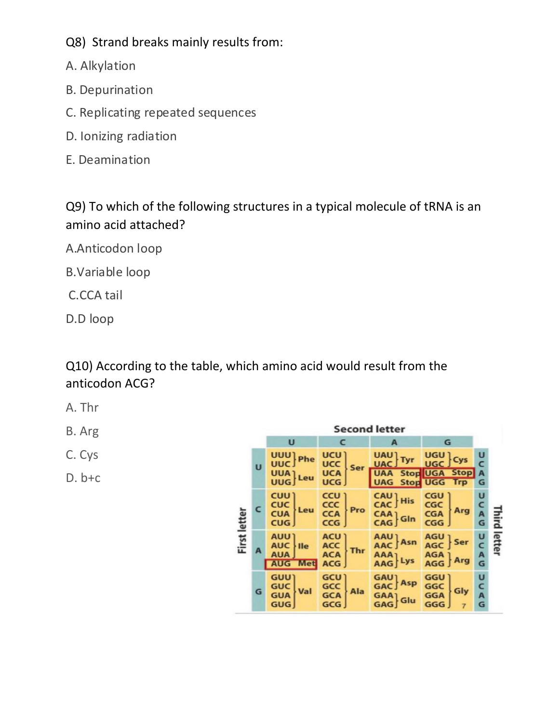Q8) Strand breaks mainly results from:

- A. Alkylation
- B. Depurination
- C. Replicating repeated sequences
- D. Ionizing radiation
- E. Deamination

Q9) To which of the following structures in a typical molecule of tRNA is an amino acid attached?

A.Anticodon loop

B.Variable loop

C.CCA tail

D.D loop

Q10) According to the table, which amino acid would result from the anticodon ACG?

- A. Thr
- B. Arg
- C. Cys
- $D. b+c$

| <b>Second letter</b> |   |                                                          |                                                 |                                                                                                              |                                                                            |                  |        |  |
|----------------------|---|----------------------------------------------------------|-------------------------------------------------|--------------------------------------------------------------------------------------------------------------|----------------------------------------------------------------------------|------------------|--------|--|
|                      |   | U                                                        | c                                               | A                                                                                                            | G                                                                          |                  |        |  |
| <b>First letter</b>  | Ū | UUU Phe<br>UUA]<br>Leu                                   | <b>UCU</b><br><b>UCC</b><br>UCA<br>Ser<br>UCG J | UAU].<br>UAC.                                                                                                | ugu j<br><b>UGC</b><br><b>UAA Stop UGA Stop</b><br><b>UAG Stop UGG Trp</b> | U<br>c<br>A<br>G |        |  |
|                      | c | CUU)<br><b>CUC</b><br>CUA<br>Leu<br>CUG                  | <b>CCU</b><br>CCC<br>CCA<br>Pro<br>CCG          | CAU ]<br><b>His</b><br>$\left[\begin{smallmatrix} \mathsf{CAA} \\ \mathsf{CAG} \end{smallmatrix}\right]$ Gln | <b>CGU</b><br>CGC<br>Arg<br><b>CGA</b><br><b>CGG</b>                       | U<br>c<br>A<br>G | Ξİ     |  |
|                      | A | <b>AUU1</b><br>AUC   Ile<br><b>AUA</b><br><b>AUG</b> Met | ACU )<br>ACC<br>ACA<br>Thr<br><b>ACG</b>        | AAU 1<br>AAC J Asn<br>AAA]<br>Lys                                                                            | AGU <sub>1</sub><br>Ser<br>AGC<br>$AGA$ $AGG$<br><b>Arg</b>                | U<br>C<br>A<br>G | letter |  |
|                      | G | <b>GUU</b><br><b>GUC</b><br>GUA<br>Val<br><b>GUG</b>     | GCU)<br>GCC<br>GCA<br>Ala<br>GCG                | <b>GAU</b><br>GAC Asp<br>GAA] Glu                                                                            | GGU 1<br>GGC<br>Gly<br><b>GGA</b><br>GGG                                   | U<br>C<br>A<br>G |        |  |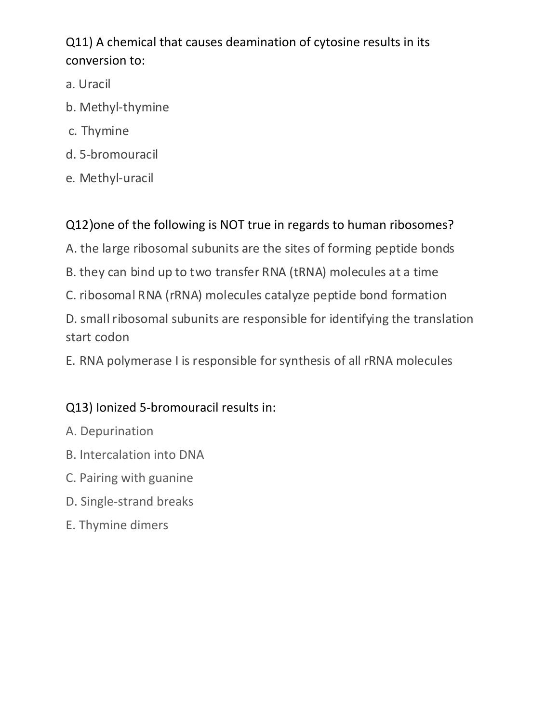# Q11) A chemical that causes deamination of cytosine results in its conversion to:

- a. Uracil
- b. Methyl-thymine
- c. Thymine
- d. 5-bromouracil
- e. Methyl-uracil

Q12) one of the following is NOT true in regards to human ribosomes?

A. the large ribosomal subunits are the sites of forming peptide bonds

- B. they can bind up to two transfer RNA (tRNA) molecules at a time
- C. ribosomal RNA (rRNA) molecules catalyze peptide bond formation

D. small ribosomal subunits are responsible for identifying the translation start codon

E. RNA polymerase I is responsible for synthesis of all rRNA molecules

# Q13) Ionized 5-bromouracil results in:

- A. Depurination
- B. Intercalation into DNA
- C. Pairing with guanine
- D. Single-strand breaks
- E. Thymine dimers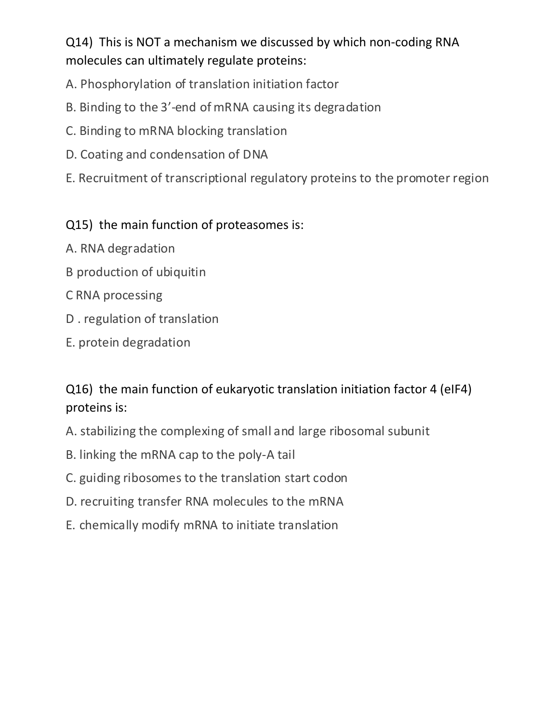Q14) This is NOT a mechanism we discussed by which non-coding RNA molecules can ultimately regulate proteins:

- A. Phosphorylation of translation initiation factor
- B. Binding to the 3'-end of mRNA causing its degradation
- C. Binding to mRNA blocking translation
- D. Coating and condensation of DNA
- E. Recruitment of transcriptional regulatory proteins to the promoter region

# Q15) the main function of proteasomes is:

- A. RNA degradation
- B production of ubiquitin
- C RNA processing
- D. regulation of translation
- E. protein degradation

# Q16) the main function of eukaryotic translation initiation factor 4 (eIF4) proteins is:

- A. stabilizing the complexing of small and large ribosomal subunit
- B. linking the mRNA cap to the poly-A tail
- C. guiding ribosomes to the translation start codon
- D. recruiting transfer RNA molecules to the mRNA
- E. chemically modify mRNA to initiate translation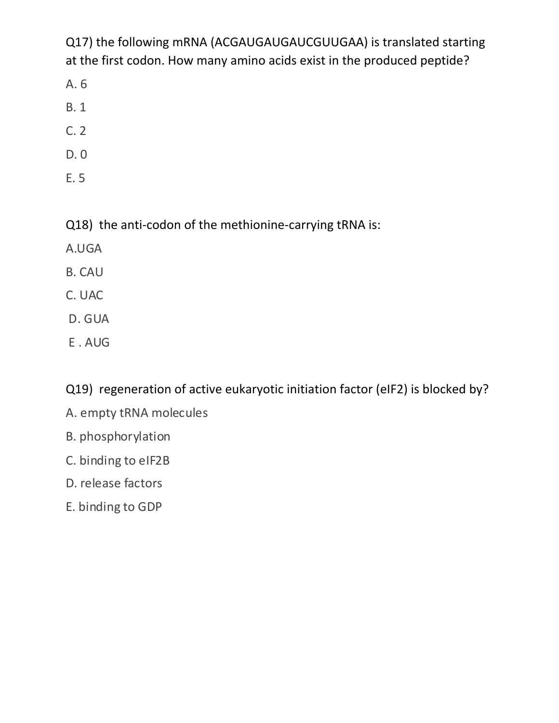Q17) the following mRNA (ACGAUGAUGAUCGUUGAA) is translated starting at the first codon. How many amino acids exist in the produced peptide?

- A. 6
- B. 1
- C. 2
- D. 0
- E. 5

Q18) the anti-codon of the methionine-carrying tRNA is:

- A.UGA
- B. CAU
- C. UAC
- D. GUA
- E.AUG

Q19) regeneration of active eukaryotic initiation factor (eIF2) is blocked by?

- A. empty tRNA molecules
- B. phosphorylation
- C. binding to eIF2B
- D. release factors
- E. binding to GDP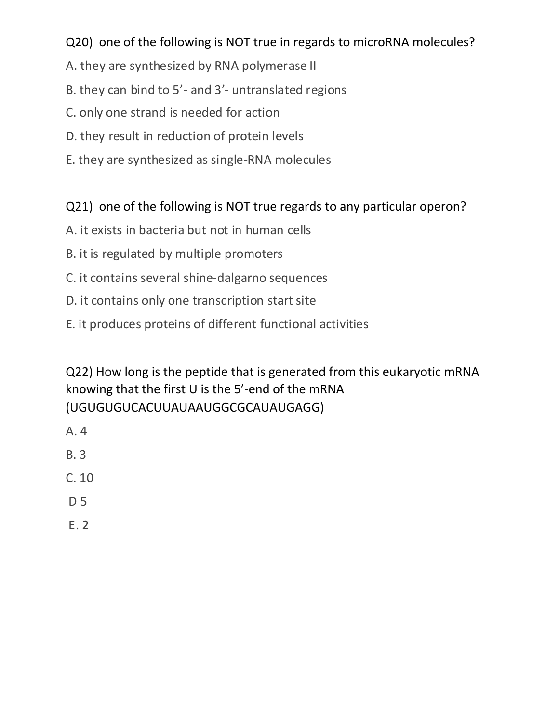#### Q20) one of the following is NOT true in regards to microRNA molecules?

- A. they are synthesized by RNA polymerase II
- B. they can bind to 5'- and 3'- untranslated regions
- C. only one strand is needed for action
- D. they result in reduction of protein levels
- E. they are synthesized as single-RNA molecules

# Q21) one of the following is NOT true regards to any particular operon?

- A. it exists in bacteria but not in human cells
- B. it is regulated by multiple promoters
- C. it contains several shine-dalgarno sequences
- D. it contains only one transcription start site
- E. it produces proteins of different functional activities

Q22) How long is the peptide that is generated from this eukaryotic mRNA knowing that the first  $U$  is the 5'-end of the mRNA (UGUGUGUCACUUAUAAUGGCGCAUAUGAGG)

- A. 4
- B. 3
- $C. 10$
- D 5
- E. 2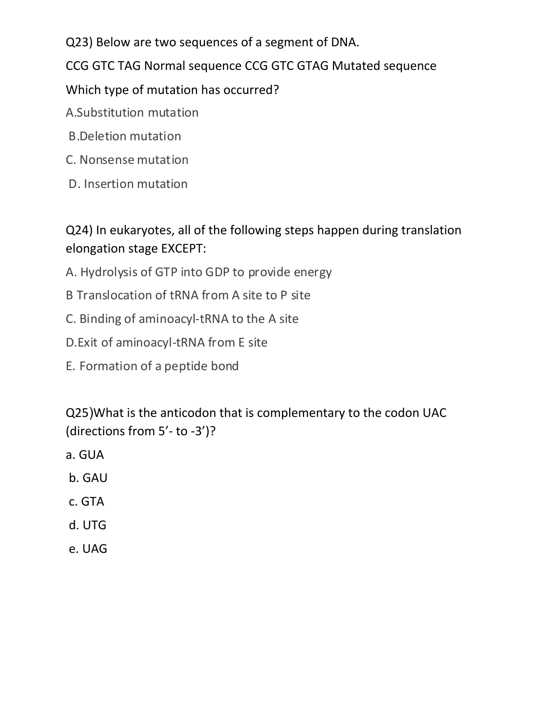Q23) Below are two sequences of a segment of DNA.

CCG GTC TAG Normal sequence CCG GTC GTAG Mutated sequence

Which type of mutation has occurred?

A.Substitution mutation

- B.Deletion mutation
- C. Nonsense mutation
- D. Insertion mutation

Q24) In eukaryotes, all of the following steps happen during translation elongation stage EXCEPT:

- A. Hydrolysis of GTP into GDP to provide energy
- B Translocation of tRNA from A site to P site
- C. Binding of aminoacyl-tRNA to the A site
- D. Exit of aminoacyl-tRNA from E site
- E. Formation of a peptide bond

Q25)What is the anticodon that is complementary to the codon UAC (directions from 5'- to -3')?

- a. GUA
- b. GAU
- c. GTA
- d. UTG
- e. UAG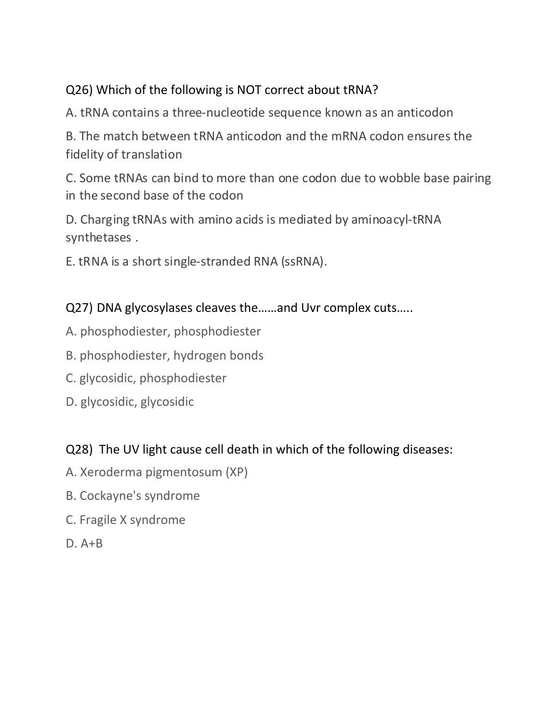#### Q26) Which of the following is NOT correct about tRNA?

A. tRNA contains a three-nucleotide sequence known as an anticodon

B. The match between tRNA anticodon and the mRNA codon ensures the fidelity of translation

C. Some tRNAs can bind to more than one codon due to wobble base pairing in the second base of the codon

D. Charging tRNAs with amino acids is mediated by aminoacyl-tRNA synthetases .

E. tRNA is a short single-stranded RNA (ssRNA).

Q27) DNA glycosylases cleaves the ...... and Uvr complex cuts.....

- A. phosphodiester, phosphodiester
- B. phosphodiester, hydrogen bonds
- C. glycosidic, phosphodiester
- D. glycosidic, glycosidic

#### Q28) The UV light cause cell death in which of the following diseases:

- A. Xeroderma pigmentosum (XP)
- B. Cockayne's syndrome
- C. Fragile X syndrome
- D. A+B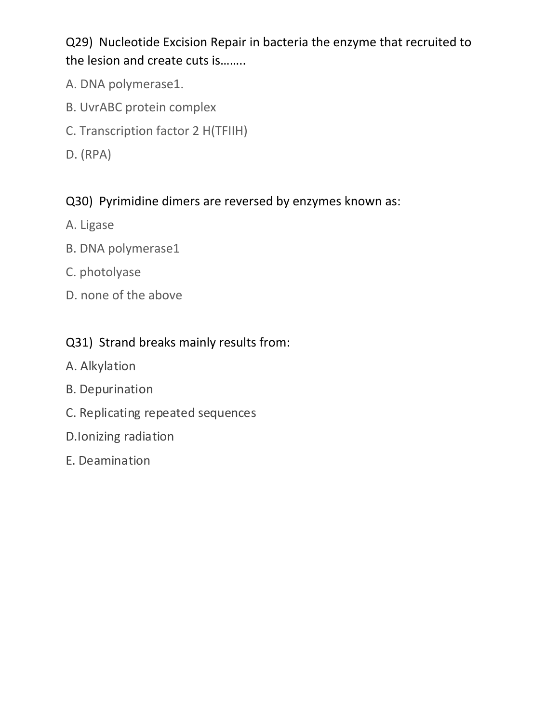Q29) Nucleotide Excision Repair in bacteria the enzyme that recruited to the lesion and create cuts is........

- A. DNA polymerase1.
- B. UvrABC protein complex
- C. Transcription factor 2 H(TFIIH)
- D. (RPA)

#### Q30) Pyrimidine dimers are reversed by enzymes known as:

- A. Ligase
- B. DNA polymerase1
- C. photolyase
- D. none of the above

#### Q31) Strand breaks mainly results from:

- A. Alkylation
- B. Depurination
- C. Replicating repeated sequences
- D.Ionizing radiation
- E. Deamination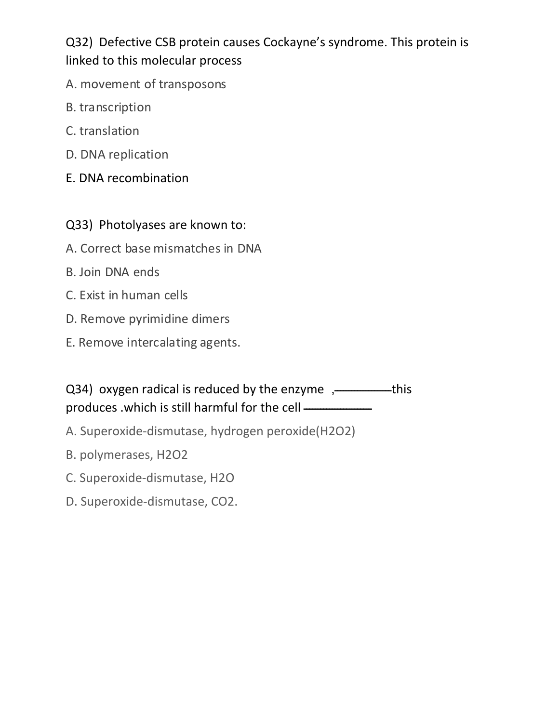Q32) Defective CSB protein causes Cockayne's syndrome. This protein is linked to this molecular process

- A. movement of transposons
- B. transcription
- C. translation
- D. DNA replication
- E. DNA recombination

#### Q33) Photolyases are known to:

- A. Correct base mismatches in DNA
- B. Join DNA ends
- C. Exist in human cells
- D. Remove pyrimidine dimers
- E. Remove intercalating agents.

# Q34) oxygen radical is reduced by the enzyme ,-comes , his produces .which is still harmful for the cell ——————

- A. Superoxide-dismutase, hydrogen peroxide(H2O2)
- B. polymerases, H2O2
- C. Superoxide-dismutase, H2O
- D. Superoxide-dismutase, CO2.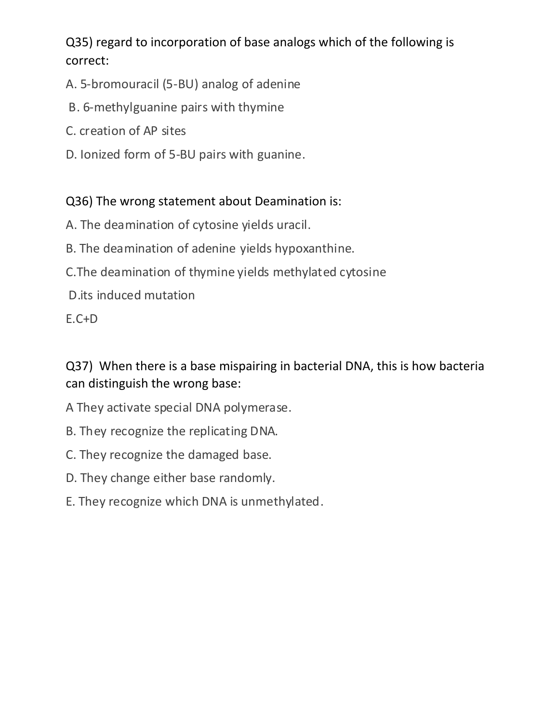Q35) regard to incorporation of base analogs which of the following is correct:

- A. 5-bromouracil (5-BU) analog of adenine
- B. 6-methylguanine pairs with thymine
- C. creation of AP sites
- D. Ionized form of 5-BU pairs with guanine.

#### Q36) The wrong statement about Deamination is:

- A. The deamination of cytosine yields uracil.
- B. The deamination of adenine yields hypoxanthine.
- C. The deamination of thymine yields methylated cytosine
- D.its induced mutation

E.C+D

Q37) When there is a base mispairing in bacterial DNA, this is how bacteria can distinguish the wrong base:

- A They activate special DNA polymerase.
- B. They recognize the replicating DNA.
- C. They recognize the damaged base.
- D. They change either base randomly.
- E. They recognize which DNA is unmethylated.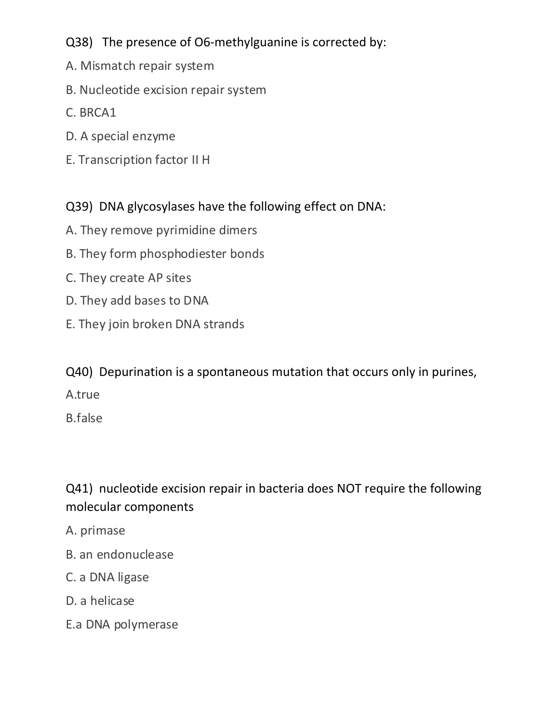# Q38) The presence of O6-methylguanine is corrected by:

- A. Mismatch repair system
- B. Nucleotide excision repair system
- C. BRCA1
- D. A special enzyme
- E. Transcription factor II H

#### Q39) DNA glycosylases have the following effect on DNA:

- A. They remove pyrimidine dimers
- B. They form phosphodiester bonds
- C. They create AP sites
- D. They add bases to DNA
- E. They join broken DNA strands

Q40) Depurination is a spontaneous mutation that occurs only in purines,

A.true 

B.false

# Q41) nucleotide excision repair in bacteria does NOT require the following molecular components

- A. primase
- B. an endonuclease
- C. a DNA ligase
- D. a helicase
- E.a DNA polymerase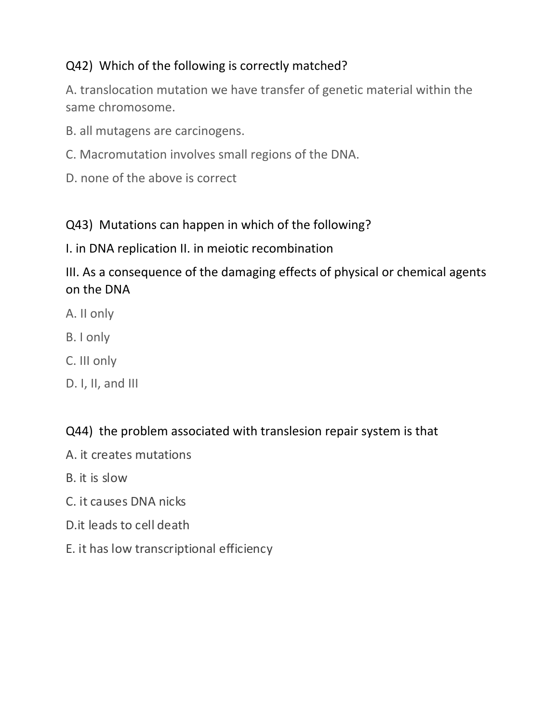#### Q42) Which of the following is correctly matched?

A. translocation mutation we have transfer of genetic material within the same chromosome.

- B. all mutagens are carcinogens.
- C. Macromutation involves small regions of the DNA.
- D. none of the above is correct

#### Q43) Mutations can happen in which of the following?

#### I. in DNA replication II. in meiotic recombination

#### III. As a consequence of the damaging effects of physical or chemical agents on the DNA

- A. II only
- B. I only
- C. III only
- D. I, II, and III

#### Q44) the problem associated with translesion repair system is that

- A. it creates mutations
- B. it is slow
- C. it causes DNA nicks
- D. it leads to cell death
- E. it has low transcriptional efficiency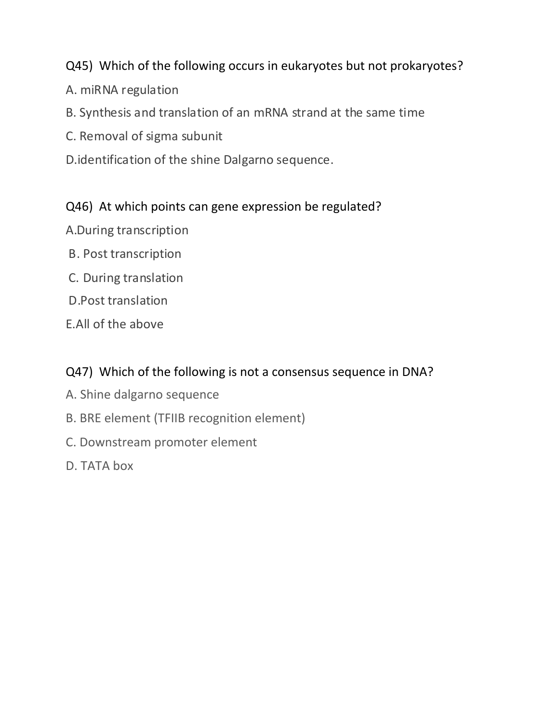#### Q45) Which of the following occurs in eukaryotes but not prokaryotes?

- A. miRNA regulation
- B. Synthesis and translation of an mRNA strand at the same time
- C. Removal of sigma subunit
- D.identification of the shine Dalgarno sequence.

#### Q46) At which points can gene expression be regulated?

- A.During transcription
- B. Post transcription
- C. During translation
- D.Post translation
- E.All of the above

#### Q47) Which of the following is not a consensus sequence in DNA?

- A. Shine dalgarno sequence
- B. BRE element (TFIIB recognition element)
- C. Downstream promoter element
- D. TATA box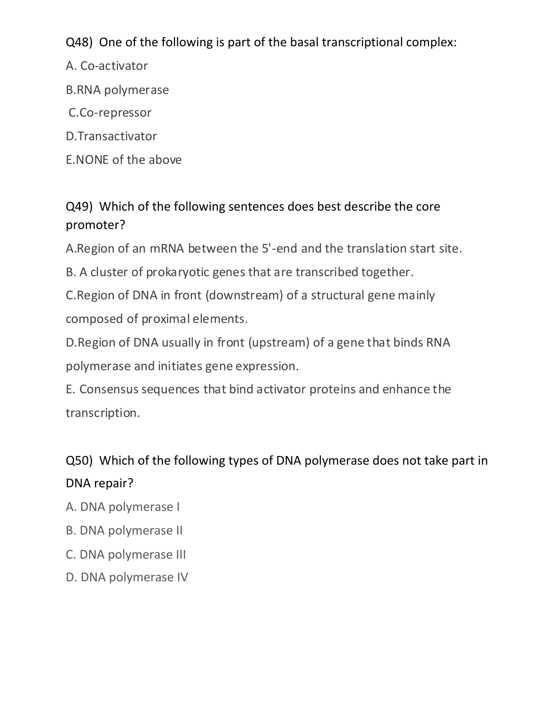Q48) One of the following is part of the basal transcriptional complex:

A. Co-activator

- B.RNA polymerase
- C.Co-repressor
- D.Transactivator
- E. NONE of the above

Q49) Which of the following sentences does best describe the core promoter?

A.Region of an mRNA between the 5'-end and the translation start site.

B. A cluster of prokaryotic genes that are transcribed together.

C. Region of DNA in front (downstream) of a structural gene mainly composed of proximal elements.

D. Region of DNA usually in front (upstream) of a gene that binds RNA polymerase and initiates gene expression.

E. Consensus sequences that bind activator proteins and enhance the transcription.

# Q50) Which of the following types of DNA polymerase does not take part in DNA repair?

- A. DNA polymerase I
- B. DNA polymerase II
- C. DNA polymerase III
- D. DNA polymerase IV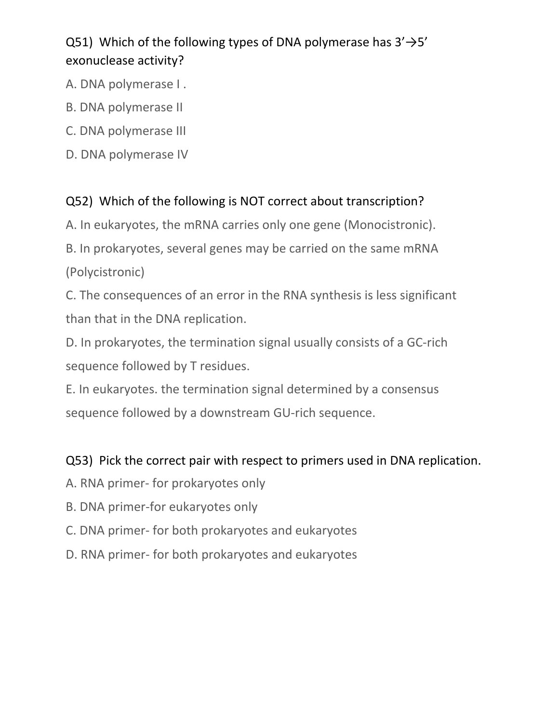# Q51) Which of the following types of DNA polymerase has  $3' \rightarrow 5'$ exonuclease activity?

- A. DNA polymerase I.
- B. DNA polymerase II
- C. DNA polymerase III
- D. DNA polymerase IV

#### Q52) Which of the following is NOT correct about transcription?

A. In eukaryotes, the mRNA carries only one gene (Monocistronic).

B. In prokaryotes, several genes may be carried on the same mRNA

(Polycistronic)

C. The consequences of an error in the RNA synthesis is less significant than that in the DNA replication.

D. In prokaryotes, the termination signal usually consists of a GC-rich sequence followed by T residues.

E. In eukaryotes. the termination signal determined by a consensus sequence followed by a downstream GU-rich sequence.

#### Q53) Pick the correct pair with respect to primers used in DNA replication.

- A. RNA primer- for prokaryotes only
- B. DNA primer-for eukaryotes only
- C. DNA primer- for both prokaryotes and eukaryotes
- D. RNA primer- for both prokaryotes and eukaryotes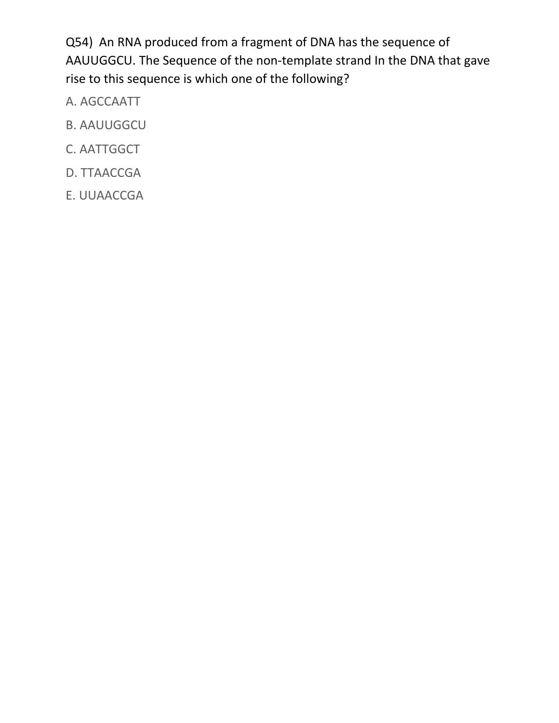Q54) An RNA produced from a fragment of DNA has the sequence of AAUUGGCU. The Sequence of the non-template strand In the DNA that gave rise to this sequence is which one of the following?

- A. AGCCAATT
- B. AAUUGGCU
- C. AATTGGCT
- D. TTAACCGA
- E. UUAACCGA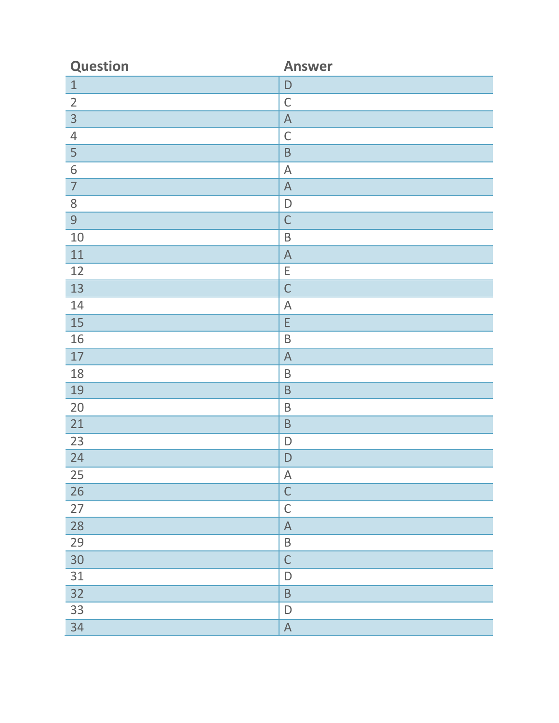| <b>Question</b> | <b>Answer</b>             |
|-----------------|---------------------------|
| $\mathbf 1$     | $\mathsf D$               |
| $\overline{2}$  | $\mathsf C$               |
| $\overline{3}$  | $\boldsymbol{\mathsf{A}}$ |
| $\overline{4}$  | $\mathsf{C}$              |
| 5               | $\sf B$                   |
| 6               | $\mathsf{A}$              |
| $\overline{7}$  | $\boldsymbol{\mathsf{A}}$ |
| 8               | $\mathsf D$               |
| 9               | $\mathsf{C}$              |
| 10              | $\sf B$                   |
| 11              | $\boldsymbol{\mathsf{A}}$ |
| 12              | E                         |
| 13              | $\mathsf{C}$              |
| 14              | $\mathsf A$               |
| 15              | $\mathsf E$               |
| 16              | $\sf B$                   |
| $17\,$          | $\mathsf A$               |
| 18              | $\sf B$                   |
| 19              | $\sf B$                   |
| 20              | $\sf B$                   |
| 21              | $\sf B$                   |
| 23              | $\mathsf D$               |
| 24              | $\mathsf D$               |
| 25              | $\boldsymbol{\mathsf{A}}$ |
| 26              | $\mathsf{C}$              |
| 27              | $\mathsf C$               |
| 28              | $\boldsymbol{\mathsf{A}}$ |
| 29              | $\sf B$                   |
| 30              | $\mathsf{C}$              |
| 31              | $\mathsf D$               |
| 32              | $\sf B$                   |
| 33              | $\mathsf D$               |
| 34              | $\mathsf A$               |